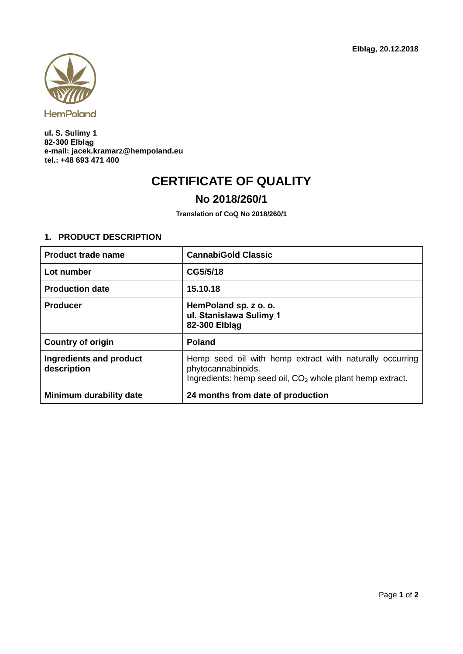

**ul. S. Sulimy 1 82-300 Elbląg e-mail: jacek.kramarz@hempoland.eu tel.: +48 693 471 400**

## **CERTIFICATE OF QUALITY**

## **No 2018/260/1**

**Translation of CoQ No 2018/260/1**

## **1. PRODUCT DESCRIPTION**

| <b>Product trade name</b>              | <b>CannabiGold Classic</b>                                                                                                                              |
|----------------------------------------|---------------------------------------------------------------------------------------------------------------------------------------------------------|
| Lot number                             | CG5/5/18                                                                                                                                                |
| <b>Production date</b>                 | 15.10.18                                                                                                                                                |
| <b>Producer</b>                        | HemPoland sp. z o. o.<br>ul. Stanisława Sulimy 1<br>82-300 Elblag                                                                                       |
| <b>Country of origin</b>               | <b>Poland</b>                                                                                                                                           |
| Ingredients and product<br>description | Hemp seed oil with hemp extract with naturally occurring<br>phytocannabinoids.<br>Ingredients: hemp seed oil, CO <sub>2</sub> whole plant hemp extract. |
| Minimum durability date                | 24 months from date of production                                                                                                                       |